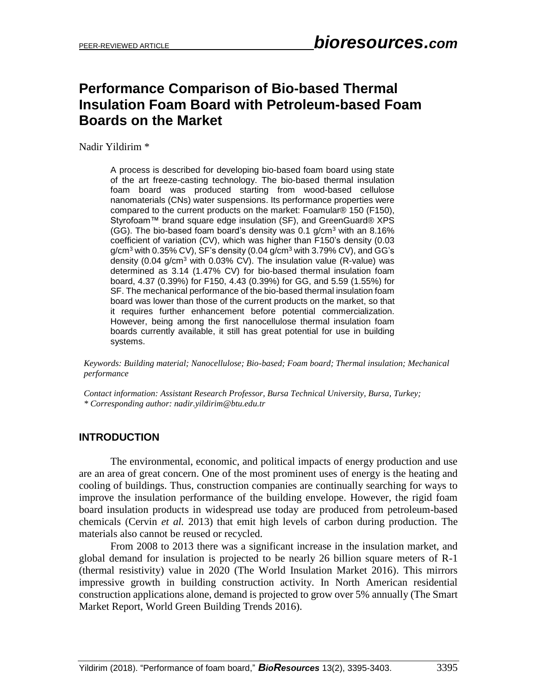# **Performance Comparison of Bio-based Thermal Insulation Foam Board with Petroleum-based Foam Boards on the Market**

Nadir Yildirim \*

A process is described for developing bio-based foam board using state of the art freeze-casting technology. The bio-based thermal insulation foam board was produced starting from wood-based cellulose nanomaterials (CNs) water suspensions. Its performance properties were compared to the current products on the market: Foamular® 150 (F150), Styrofoam™ brand square edge insulation (SF), and GreenGuard® XPS (GG). The bio-based foam board's density was 0.1  $q/cm<sup>3</sup>$  with an 8.16% coefficient of variation (CV), which was higher than F150's density (0.03  $g/cm<sup>3</sup>$  with 0.35% CV), SF's density (0.04  $g/cm<sup>3</sup>$  with 3.79% CV), and GG's density (0.04 g/cm<sup>3</sup> with 0.03% CV). The insulation value (R-value) was determined as 3.14 (1.47% CV) for bio-based thermal insulation foam board, 4.37 (0.39%) for F150, 4.43 (0.39%) for GG, and 5.59 (1.55%) for SF. The mechanical performance of the bio-based thermal insulation foam board was lower than those of the current products on the market, so that it requires further enhancement before potential commercialization. However, being among the first nanocellulose thermal insulation foam boards currently available, it still has great potential for use in building systems.

*Keywords: Building material; Nanocellulose; Bio-based; Foam board; Thermal insulation; Mechanical performance*

*Contact information: Assistant Research Professor, Bursa Technical University, Bursa, Turkey; \* Corresponding author: nadir.yildirim@btu.edu.tr* 

### **INTRODUCTION**

The environmental, economic, and political impacts of energy production and use are an area of great concern. One of the most prominent uses of energy is the heating and cooling of buildings. Thus, construction companies are continually searching for ways to improve the insulation performance of the building envelope. However, the rigid foam board insulation products in widespread use today are produced from petroleum-based chemicals (Cervin *et al.* 2013) that emit high levels of carbon during production. The materials also cannot be reused or recycled.

From 2008 to 2013 there was a significant increase in the insulation market, and global demand for insulation is projected to be nearly 26 billion square meters of R-1 (thermal resistivity) value in 2020 (The World Insulation Market 2016). This mirrors impressive growth in building construction activity. In North American residential construction applications alone, demand is projected to grow over 5% annually (The Smart Market Report, World Green Building Trends 2016).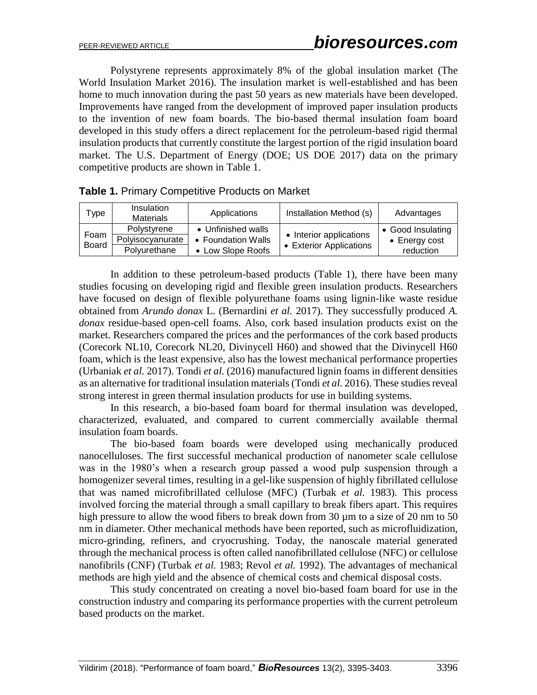Polystyrene represents approximately 8% of the global insulation market (The World Insulation Market 2016). The insulation market is well-established and has been home to much innovation during the past 50 years as new materials have been developed. Improvements have ranged from the development of improved paper insulation products to the invention of new foam boards. The bio-based thermal insulation foam board developed in this study offers a direct replacement for the petroleum-based rigid thermal insulation products that currently constitute the largest portion of the rigid insulation board market. The U.S. Department of Energy (DOE; US DOE 2017) data on the primary competitive products are shown in Table 1.

| Гvре:                | Insulation<br><b>Materials</b>                  | Applications                                                  | Installation Method (s)                            | Advantages                                              |
|----------------------|-------------------------------------------------|---------------------------------------------------------------|----------------------------------------------------|---------------------------------------------------------|
| Foam<br><b>Board</b> | Polystyrene<br>Polyisocyanurate<br>Polyurethane | • Unfinished walls<br>• Foundation Walls<br>• Low Slope Roofs | • Interior applications<br>• Exterior Applications | • Good Insulating<br>$\bullet$ Energy cost<br>reduction |

|  |  |  |  |  | Table 1. Primary Competitive Products on Market |  |  |
|--|--|--|--|--|-------------------------------------------------|--|--|
|--|--|--|--|--|-------------------------------------------------|--|--|

In addition to these petroleum-based products (Table 1), there have been many studies focusing on developing rigid and flexible green insulation products. Researchers have focused on design of flexible polyurethane foams using lignin-like waste residue obtained from *Arundo donax* L. (Bernardini *et al.* 2017). They successfully produced *A. donax* residue-based open-cell foams. Also, cork based insulation products exist on the market. Researchers compared the prices and the performances of the cork based products (Corecork NL10, Corecork NL20, Divinycell H60) and showed that the Divinycell H60 foam, which is the least expensive, also has the lowest mechanical performance properties (Urbaniak *et al.* 2017). Tondi *et al.* (2016) manufactured lignin foams in different densities as an alternative for traditional insulation materials (Tondi *et al.* 2016). These studies reveal strong interest in green thermal insulation products for use in building systems.

In this research, a bio-based foam board for thermal insulation was developed, characterized, evaluated, and compared to current commercially available thermal insulation foam boards.

The bio-based foam boards were developed using mechanically produced nanocelluloses. The first successful mechanical production of nanometer scale cellulose was in the 1980's when a research group passed a wood pulp suspension through a homogenizer several times, resulting in a gel-like suspension of highly fibrillated cellulose that was named microfibrillated cellulose (MFC) (Turbak *et al.* 1983). This process involved forcing the material through a small capillary to break fibers apart. This requires high pressure to allow the wood fibers to break down from  $30 \mu m$  to a size of  $20 \text{ nm}$  to  $50$ nm in diameter. Other mechanical methods have been reported, such as microfluidization, micro-grinding, refiners, and cryocrushing. Today, the nanoscale material generated through the mechanical process is often called nanofibrillated cellulose (NFC) or cellulose nanofibrils (CNF) (Turbak *et al.* 1983; Revol *et al.* 1992). The advantages of mechanical methods are high yield and the absence of chemical costs and chemical disposal costs.

This study concentrated on creating a novel bio-based foam board for use in the construction industry and comparing its performance properties with the current petroleum based products on the market.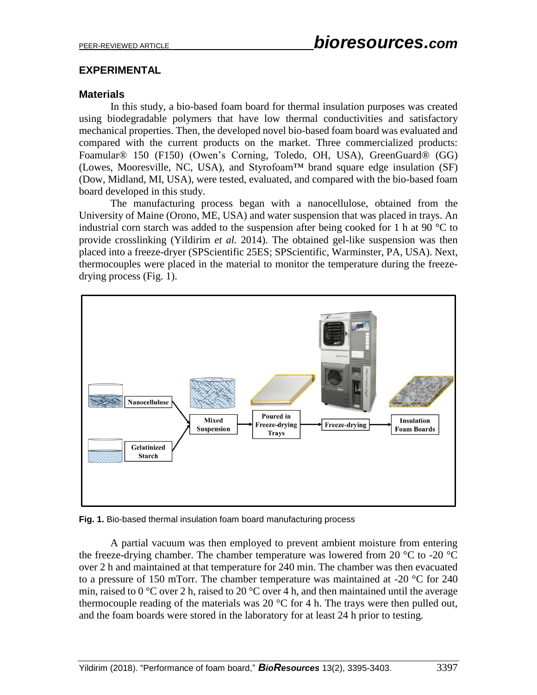# **EXPERIMENTAL**

# **Materials**

In this study, a bio-based foam board for thermal insulation purposes was created using biodegradable polymers that have low thermal conductivities and satisfactory mechanical properties. Then, the developed novel bio-based foam board was evaluated and compared with the current products on the market. Three commercialized products: Foamular® 150 (F150) (Owen's Corning, Toledo, OH, USA), GreenGuard® (GG) (Lowes, Mooresville, NC, USA), and Styrofoam™ brand square edge insulation (SF) (Dow, Midland, MI, USA), were tested, evaluated, and compared with the bio-based foam board developed in this study.

The manufacturing process began with a nanocellulose, obtained from the University of Maine (Orono, ME, USA) and water suspension that was placed in trays. An industrial corn starch was added to the suspension after being cooked for 1 h at 90 °C to provide crosslinking (Yildirim *et al.* 2014). The obtained gel-like suspension was then placed into a freeze-dryer (SPScientific 25ES; SPScientific, Warminster, PA, USA). Next, thermocouples were placed in the material to monitor the temperature during the freezedrying process (Fig. 1).



**Fig. 1.** Bio-based thermal insulation foam board manufacturing process

A partial vacuum was then employed to prevent ambient moisture from entering the freeze-drying chamber. The chamber temperature was lowered from 20  $^{\circ}$ C to -20  $^{\circ}$ C over 2 h and maintained at that temperature for 240 min. The chamber was then evacuated to a pressure of 150 mTorr. The chamber temperature was maintained at -20 °C for 240 min, raised to 0 °C over 2 h, raised to 20 °C over 4 h, and then maintained until the average thermocouple reading of the materials was 20  $^{\circ}$ C for 4 h. The trays were then pulled out, and the foam boards were stored in the laboratory for at least 24 h prior to testing.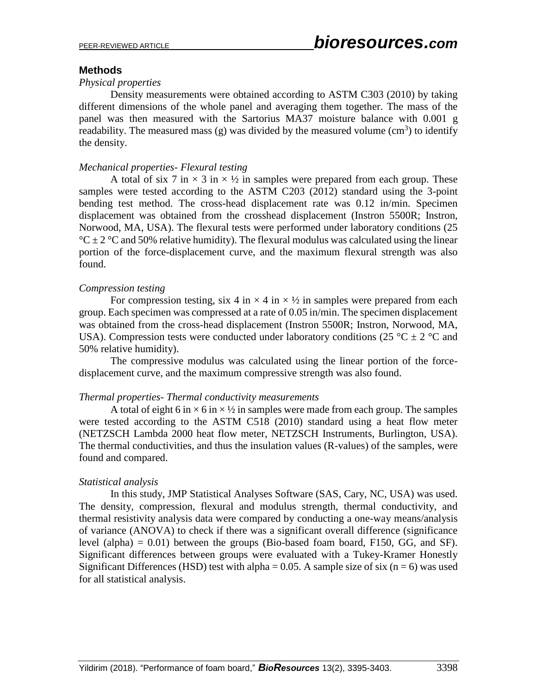### **Methods**

#### *Physical properties*

Density measurements were obtained according to ASTM C303 (2010) by taking different dimensions of the whole panel and averaging them together. The mass of the panel was then measured with the Sartorius MA37 moisture balance with 0.001 g readability. The measured mass (g) was divided by the measured volume  $(cm<sup>3</sup>)$  to identify the density.

#### *Mechanical properties- Flexural testing*

A total of six 7 in  $\times$  3 in  $\times$  1/2 in samples were prepared from each group. These samples were tested according to the ASTM C203 (2012) standard using the 3-point bending test method. The cross-head displacement rate was 0.12 in/min. Specimen displacement was obtained from the crosshead displacement (Instron 5500R; Instron, Norwood, MA, USA). The flexural tests were performed under laboratory conditions (25  ${}^{\circ}C \pm 2$  °C and 50% relative humidity). The flexural modulus was calculated using the linear portion of the force-displacement curve, and the maximum flexural strength was also found.

#### *Compression testing*

For compression testing, six 4 in  $\times$  4 in  $\times$  1/2 in samples were prepared from each group. Each specimen was compressed at a rate of 0.05 in/min. The specimen displacement was obtained from the cross-head displacement (Instron 5500R; Instron, Norwood, MA, USA). Compression tests were conducted under laboratory conditions (25 °C  $\pm$  2 °C and 50% relative humidity).

The compressive modulus was calculated using the linear portion of the forcedisplacement curve, and the maximum compressive strength was also found.

#### *Thermal properties- Thermal conductivity measurements*

A total of eight 6 in  $\times$  6 in  $\times$  1/2 in samples were made from each group. The samples were tested according to the ASTM C518 (2010) standard using a heat flow meter (NETZSCH Lambda 2000 heat flow meter, NETZSCH Instruments, Burlington, USA). The thermal conductivities, and thus the insulation values (R-values) of the samples, were found and compared.

#### *Statistical analysis*

In this study, JMP Statistical Analyses Software (SAS, Cary, NC, USA) was used. The density, compression, flexural and modulus strength, thermal conductivity, and thermal resistivity analysis data were compared by conducting a one-way means/analysis of variance (ANOVA) to check if there was a significant overall difference (significance level (alpha)  $= 0.01$ ) between the groups (Bio-based foam board, F150, GG, and SF). Significant differences between groups were evaluated with a Tukey-Kramer Honestly Significant Differences (HSD) test with alpha = 0.05. A sample size of six ( $n = 6$ ) was used for all statistical analysis.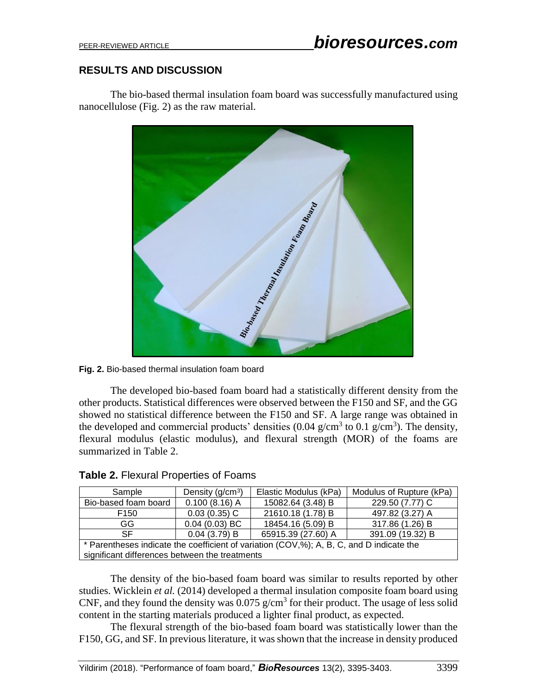# **RESULTS AND DISCUSSION**

The bio-based thermal insulation foam board was successfully manufactured using nanocellulose (Fig. 2) as the raw material.



**Fig. 2.** Bio-based thermal insulation foam board

The developed bio-based foam board had a statistically different density from the other products. Statistical differences were observed between the F150 and SF, and the GG showed no statistical difference between the F150 and SF. A large range was obtained in the developed and commercial products' densities  $(0.04 \text{ g/cm}^3 \text{ to } 0.1 \text{ g/cm}^3)$ . The density, flexural modulus (elastic modulus), and flexural strength (MOR) of the foams are summarized in Table 2.

| Sample                                                                                   | Density $(g/cm3)$ | Elastic Modulus (kPa) | Modulus of Rupture (kPa) |  |  |
|------------------------------------------------------------------------------------------|-------------------|-----------------------|--------------------------|--|--|
| Bio-based foam board                                                                     | $0.100(8.16)$ A   | 15082.64 (3.48) B     | 229.50 (7.77) C          |  |  |
| F <sub>150</sub>                                                                         | $0.03(0.35)$ C    | 21610.18 (1.78) B     | 497.82 (3.27) A          |  |  |
| GG.                                                                                      | $0.04(0.03)$ BC   | 18454.16 (5.09) B     | 317.86 (1.26) B          |  |  |
| 65915.39 (27.60) A<br>0.04(3.79) B<br>391.09 (19.32) B<br><b>SF</b>                      |                   |                       |                          |  |  |
| * Parentheses indicate the coefficient of variation (COV,%); A, B, C, and D indicate the |                   |                       |                          |  |  |
| significant differences between the treatments                                           |                   |                       |                          |  |  |

### **Table 2.** Flexural Properties of Foams

The density of the bio-based foam board was similar to results reported by other studies. Wicklein *et al.* (2014) developed a thermal insulation composite foam board using CNF, and they found the density was  $0.075$  g/cm<sup>3</sup> for their product. The usage of less solid content in the starting materials produced a lighter final product, as expected.

The flexural strength of the bio-based foam board was statistically lower than the F150, GG, and SF. In previous literature, it was shown that the increase in density produced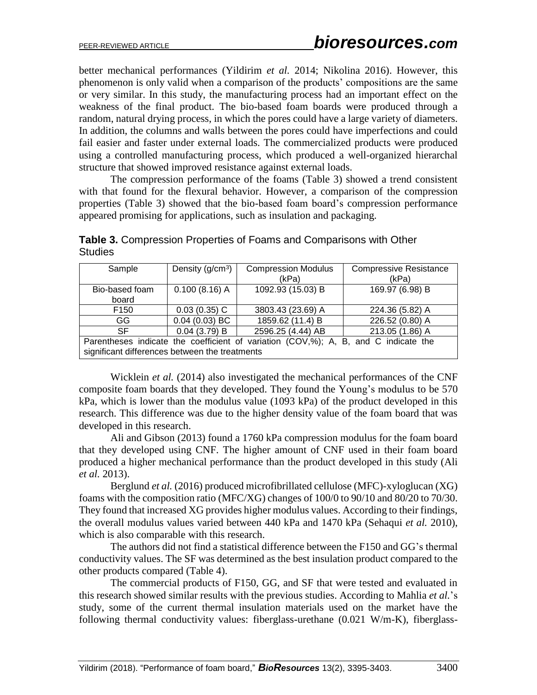better mechanical performances (Yildirim *et al.* 2014; Nikolina 2016). However, this phenomenon is only valid when a comparison of the products' compositions are the same or very similar. In this study, the manufacturing process had an important effect on the weakness of the final product. The bio-based foam boards were produced through a random, natural drying process, in which the pores could have a large variety of diameters. In addition, the columns and walls between the pores could have imperfections and could fail easier and faster under external loads. The commercialized products were produced using a controlled manufacturing process, which produced a well-organized hierarchal structure that showed improved resistance against external loads.

The compression performance of the foams (Table 3) showed a trend consistent with that found for the flexural behavior. However, a comparison of the compression properties (Table 3) showed that the bio-based foam board's compression performance appeared promising for applications, such as insulation and packaging.

| Sample                                                                              | Density $(g/cm3)$ | <b>Compression Modulus</b> | <b>Compressive Resistance</b> |  |
|-------------------------------------------------------------------------------------|-------------------|----------------------------|-------------------------------|--|
|                                                                                     |                   | (kPa)                      | (kPa)                         |  |
| Bio-based foam                                                                      | $0.100(8.16)$ A   | 1092.93 (15.03) B          | 169.97 (6.98) B               |  |
| board                                                                               |                   |                            |                               |  |
| F <sub>150</sub>                                                                    | $0.03(0.35)$ C    | 3803.43 (23.69) A          | 224.36 (5.82) A               |  |
| GG                                                                                  | $0.04(0.03)$ BC   | 1859.62 (11.4) B           | 226.52 (0.80) A               |  |
| <b>SF</b>                                                                           | $0.04$ (3.79) B   | 2596.25 (4.44) AB          | 213.05 (1.86) A               |  |
| Parentheses indicate the coefficient of variation (COV,%); A, B, and C indicate the |                   |                            |                               |  |
| significant differences between the treatments                                      |                   |                            |                               |  |

**Table 3.** Compression Properties of Foams and Comparisons with Other **Studies** 

Wicklein *et al.* (2014) also investigated the mechanical performances of the CNF composite foam boards that they developed. They found the Young's modulus to be 570 kPa, which is lower than the modulus value (1093 kPa) of the product developed in this research. This difference was due to the higher density value of the foam board that was developed in this research.

Ali and Gibson (2013) found a 1760 kPa compression modulus for the foam board that they developed using CNF. The higher amount of CNF used in their foam board produced a higher mechanical performance than the product developed in this study (Ali *et al.* 2013).

Berglund *et al.* (2016) produced microfibrillated cellulose (MFC)-xyloglucan (XG) foams with the composition ratio (MFC/XG) changes of 100/0 to 90/10 and 80/20 to 70/30. They found that increased XG provides higher modulus values. According to their findings, the overall modulus values varied between 440 kPa and 1470 kPa (Sehaqui *et al.* 2010), which is also comparable with this research.

The authors did not find a statistical difference between the F150 and GG's thermal conductivity values. The SF was determined as the best insulation product compared to the other products compared (Table 4).

The commercial products of F150, GG, and SF that were tested and evaluated in this research showed similar results with the previous studies. According to Mahlia *et al.*'s study, some of the current thermal insulation materials used on the market have the following thermal conductivity values: fiberglass-urethane (0.021 W/m-K), fiberglass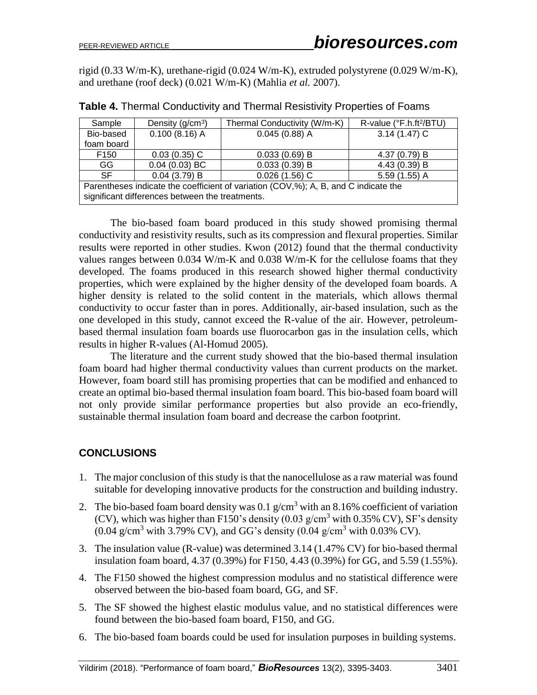rigid (0.33 W/m-K), urethane-rigid (0.024 W/m-K), extruded polystyrene (0.029 W/m-K), and urethane (roof deck) (0.021 W/m-K) (Mahlia *et al.* 2007).

| Sample                                                                                                                                 | Density $(g/cm3)$ | Thermal Conductivity (W/m-K) | R-value (°F.h.ft <sup>2</sup> /BTU) |  |  |
|----------------------------------------------------------------------------------------------------------------------------------------|-------------------|------------------------------|-------------------------------------|--|--|
| Bio-based                                                                                                                              | $0.100(8.16)$ A   | $0.045(0.88)$ A              | $3.14(1.47)$ C                      |  |  |
| foam board                                                                                                                             |                   |                              |                                     |  |  |
| F <sub>150</sub>                                                                                                                       | $0.03(0.35)$ C    | $0.033(0.69)$ B              | 4.37 (0.79) B                       |  |  |
| GG                                                                                                                                     | $0.04(0.03)$ BC   | $0.033(0.39)$ B              | 4.43 (0.39) B                       |  |  |
| SF.                                                                                                                                    | $0.04$ (3.79) B   | $0.026(1.56)$ C              | $5.59(1.55)$ A                      |  |  |
| Parentheses indicate the coefficient of variation (COV,%); A, B, and C indicate the<br>significant differences between the treatments. |                   |                              |                                     |  |  |

**Table 4.** Thermal Conductivity and Thermal Resistivity Properties of Foams

The bio-based foam board produced in this study showed promising thermal conductivity and resistivity results, such as its compression and flexural properties. Similar results were reported in other studies. Kwon (2012) found that the thermal conductivity values ranges between 0.034 W/m-K and 0.038 W/m-K for the cellulose foams that they developed. The foams produced in this research showed higher thermal conductivity properties, which were explained by the higher density of the developed foam boards. A higher density is related to the solid content in the materials, which allows thermal conductivity to occur faster than in pores. Additionally, air-based insulation, such as the one developed in this study, cannot exceed the R-value of the air. However, petroleumbased thermal insulation foam boards use fluorocarbon gas in the insulation cells, which results in higher R-values (Al-Homud 2005).

The literature and the current study showed that the bio-based thermal insulation foam board had higher thermal conductivity values than current products on the market. However, foam board still has promising properties that can be modified and enhanced to create an optimal bio-based thermal insulation foam board. This bio-based foam board will not only provide similar performance properties but also provide an eco-friendly, sustainable thermal insulation foam board and decrease the carbon footprint.

# **CONCLUSIONS**

- 1. The major conclusion of this study is that the nanocellulose as a raw material was found suitable for developing innovative products for the construction and building industry.
- 2. The bio-based foam board density was  $0.1$  g/cm<sup>3</sup> with an 8.16% coefficient of variation (CV), which was higher than F150's density  $(0.03 \text{ g/cm}^3 \text{ with } 0.35\% \text{ CV})$ , SF's density  $(0.04 \text{ g/cm}^3 \text{ with } 3.79\% \text{ CV})$ , and GG's density  $(0.04 \text{ g/cm}^3 \text{ with } 0.03\% \text{ CV})$ .
- 3. The insulation value (R-value) was determined 3.14 (1.47% CV) for bio-based thermal insulation foam board, 4.37 (0.39%) for F150, 4.43 (0.39%) for GG, and 5.59 (1.55%).
- 4. The F150 showed the highest compression modulus and no statistical difference were observed between the bio-based foam board, GG, and SF.
- 5. The SF showed the highest elastic modulus value, and no statistical differences were found between the bio-based foam board, F150, and GG.
- 6. The bio-based foam boards could be used for insulation purposes in building systems.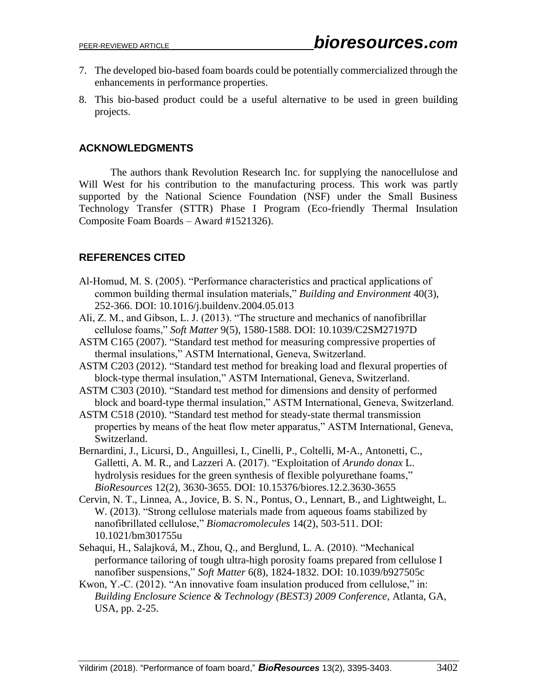- 7. The developed bio-based foam boards could be potentially commercialized through the enhancements in performance properties.
- 8. This bio-based product could be a useful alternative to be used in green building projects.

# **ACKNOWLEDGMENTS**

The authors thank Revolution Research Inc. for supplying the nanocellulose and Will West for his contribution to the manufacturing process. This work was partly supported by the National Science Foundation (NSF) under the Small Business Technology Transfer (STTR) Phase I Program (Eco-friendly Thermal Insulation Composite Foam Boards – Award #1521326).

# **REFERENCES CITED**

- Al-Homud, M. S. (2005). "Performance characteristics and practical applications of common building thermal insulation materials," *Building and Environment* 40(3), 252-366. DOI: 10.1016/j.buildenv.2004.05.013
- Ali, Z. M., and Gibson, L. J. (2013). "The structure and mechanics of nanofibrillar cellulose foams," *Soft Matter* 9(5), 1580-1588. DOI: 10.1039/C2SM27197D
- ASTM C165 (2007). "Standard test method for measuring compressive properties of thermal insulations," ASTM International, Geneva, Switzerland.
- ASTM C203 (2012). "Standard test method for breaking load and flexural properties of block-type thermal insulation," ASTM International, Geneva, Switzerland.
- ASTM C303 (2010). "Standard test method for dimensions and density of performed block and board-type thermal insulation," ASTM International, Geneva, Switzerland.
- ASTM C518 (2010). "Standard test method for steady-state thermal transmission properties by means of the heat flow meter apparatus," ASTM International, Geneva, Switzerland.
- Bernardini, J., Licursi, D., Anguillesi, I., Cinelli, P., Coltelli, M-A., Antonetti, C., Galletti, A. M. R., and Lazzeri A. (2017). "Exploitation of *Arundo donax* L. hydrolysis residues for the green synthesis of flexible polyurethane foams," *BioResources* 12(2), 3630-3655. DOI: 10.15376/biores.12.2.3630-3655
- Cervin, N. T., Linnea, A., Jovice, B. S. N., Pontus, O., Lennart, B., and Lightweight, L. W. (2013). "Strong cellulose materials made from aqueous foams stabilized by nanofibrillated cellulose," *Biomacromolecules* 14(2), 503-511. DOI: 10.1021/bm301755u
- Sehaqui, H., Salajková, M., Zhou, Q., and Berglund, L. A. (2010). "Mechanical performance tailoring of tough ultra-high porosity foams prepared from cellulose I nanofiber suspensions," *Soft Matter* 6(8), 1824-1832. DOI: 10.1039/b927505c
- Kwon, Y.-C. (2012). "An innovative foam insulation produced from cellulose," in: *Building Enclosure Science & Technology (BEST3) 2009 Conference*, Atlanta, GA, USA, pp. 2-25.